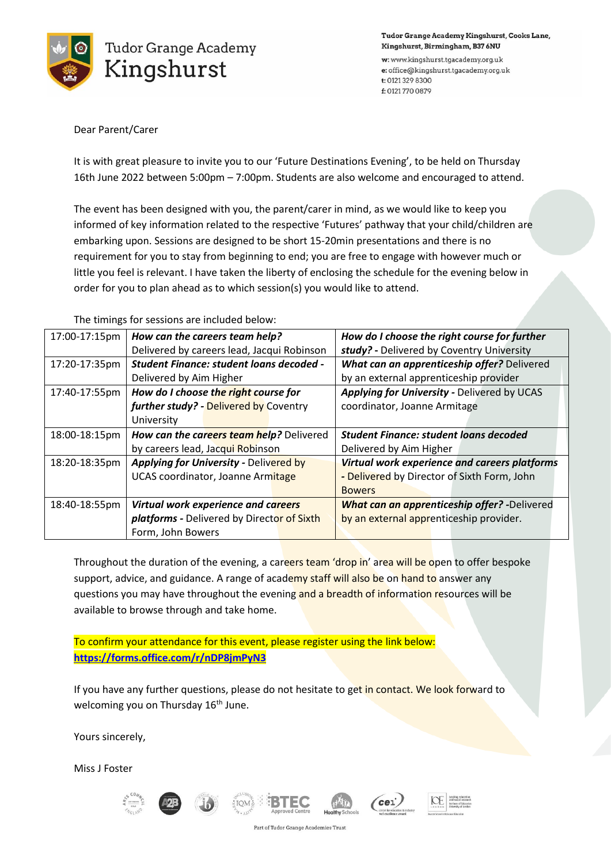

Tudor Grange Academy Kingshurst, Cooks Lane, Kingshurst, Birmingham, B37 6NU

w: www.kingshurst.tgacademy.org.uk e: office@kingshurst.tgacademy.org.uk t: 0121 329 8300 f: 01217700879

## Dear Parent/Carer

It is with great pleasure to invite you to our 'Future Destinations Evening', to be held on Thursday 16th June 2022 between 5:00pm – 7:00pm. Students are also welcome and encouraged to attend.

The event has been designed with you, the parent/carer in mind, as we would like to keep you informed of key information related to the respective 'Futures' pathway that your child/children are embarking upon. Sessions are designed to be short 15-20min presentations and there is no requirement for you to stay from beginning to end; you are free to engage with however much or little you feel is relevant. I have taken the liberty of enclosing the schedule for the evening below in order for you to plan ahead as to which session(s) you would like to attend.

The timings for sessions are included below:

| 17:00-17:15pm | How can the careers team help?                | How do I choose the right course for further        |
|---------------|-----------------------------------------------|-----------------------------------------------------|
|               | Delivered by careers lead, Jacqui Robinson    | study? - Delivered by Coventry University           |
| 17:20-17:35pm | Student Finance: student loans decoded -      | What can an apprenticeship offer? Delivered         |
|               | Delivered by Aim Higher                       | by an external apprenticeship provider              |
| 17:40-17:55pm | How do I choose the right course for          | Applying for University - Delivered by UCAS         |
|               | further study? - Delivered by Coventry        | coordinator, Joanne Armitage                        |
|               | University                                    |                                                     |
| 18:00-18:15pm | How can the careers team help? Delivered      | <b>Student Finance: student loans decoded</b>       |
|               | by careers lead, Jacqui Robinson              | Delivered by Aim Higher                             |
| 18:20-18:35pm | <b>Applying for University - Delivered by</b> | Virtual work experience and careers platforms       |
|               | UCAS coordinator, Joanne Armitage             | - Delivered by Director of Sixth Form, John         |
|               |                                               | <b>Bowers</b>                                       |
| 18:40-18:55pm | Virtual work experience and careers           | <b>What can an apprenticeship offer?</b> -Delivered |
|               | platforms - Delivered by Director of Sixth    | by an external apprenticeship provider.             |
|               | Form, John Bowers                             |                                                     |

Throughout the duration of the evening, a careers team 'drop in' area will be open to offer bespoke support, advice, and guidance. A range of academy staff will also be on hand to answer any questions you may have throughout the evening and a breadth of information resources will be available to browse through and take home.

To confirm your attendance for this event, please register using the link below: **<https://forms.office.com/r/nDP8jmPyN3>**

If you have any further questions, please do not hesitate to get in contact. We look forward to welcoming you on Thursday 16<sup>th</sup> June.

Yours sincerely,

Miss J Foster











Part of Tudor Grange Academies Trust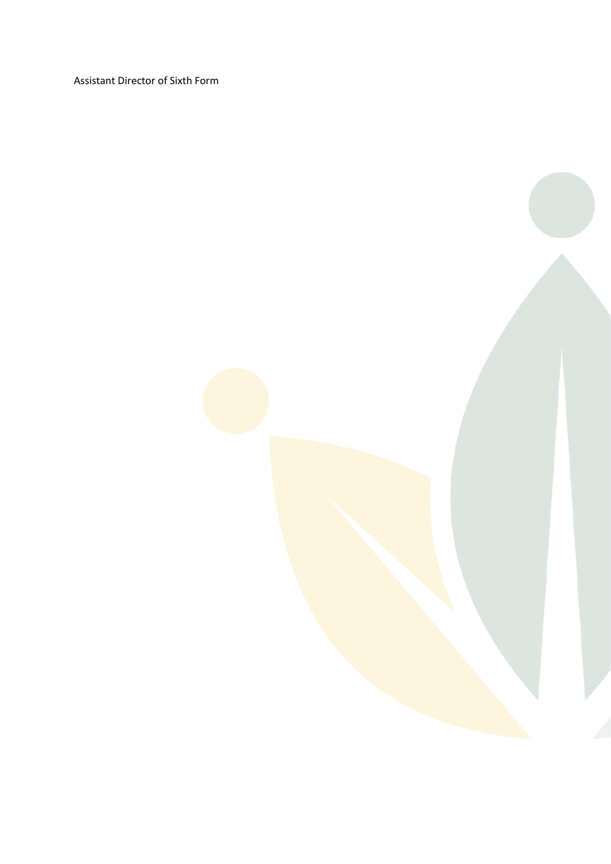Assistant Director of Sixth Form